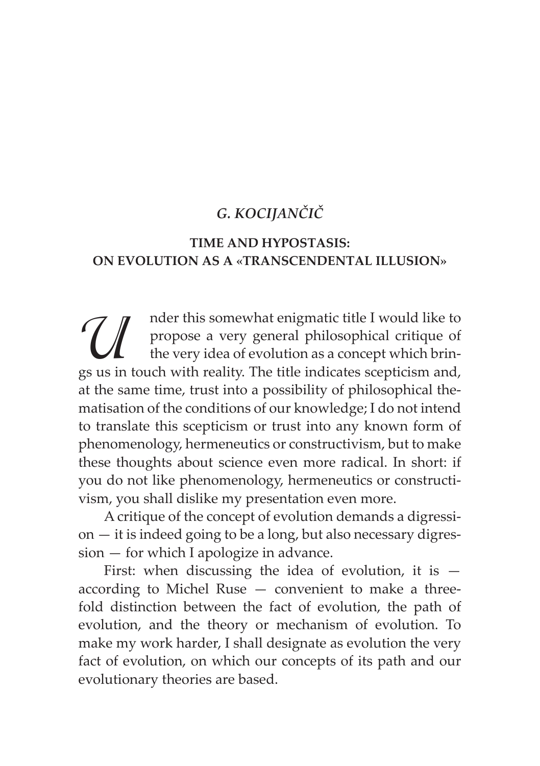## *G. KOCIJANČIČ*

## **TIME AND HYPOSTASIS: ON EVOLUTION AS A «TRANSCENDENTAL ILLUSION»**

M nder this somewhat enigmatic title I would like to<br>propose a very general philosophical critique of<br>the very idea of evolution as a concept which brings<br>us in touch with reality. The title indicates scepticism and. propose a very general philosophical critique of the very idea of evolution as a concept which brings us in touch with reality. The title indicates scepticism and, at the same time, trust into a possibility of philosophical thematisation of the conditions of our knowledge; I do not intend to translate this scepticism or trust into any known form of phenomenology, hermeneutics or constructivism, but to make these thoughts about science even more radical. In short: if you do not like phenomenology, hermeneutics or constructivism, you shall dislike my presentation even more.

A critique of the concept of evolution demands a digression — it is indeed going to be a long, but also necessary digression — for which I apologize in advance.

First: when discussing the idea of evolution, it is  $$ according to Michel Ruse — convenient to make a threefold distinction between the fact of evolution, the path of evolution, and the theory or mechanism of evolution. To make my work harder, I shall designate as evolution the very fact of evolution, on which our concepts of its path and our evolutionary theories are based.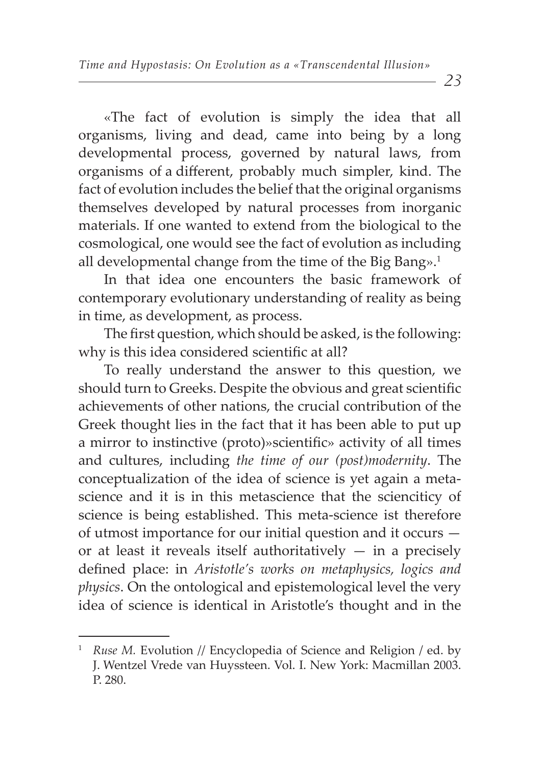«The fact of evolution is simply the idea that all organisms, living and dead, came into being by a long developmental process, governed by natural laws, from organisms of a different, probably much simpler, kind. The fact of evolution includes the belief that the original organisms themselves developed by natural processes from inorganic materials. If one wanted to extend from the biological to the cosmological, one would see the fact of evolution as including all developmental change from the time of the Big Bang».<sup>1</sup>

In that idea one encounters the basic framework of contemporary evolutionary understanding of reality as being in time, as development, as process.

The first question, which should be asked, is the following: why is this idea considered scientific at all?

To really understand the answer to this question, we should turn to Greeks. Despite the obvious and great scientific achievements of other nations, the crucial contribution of the Greek thought lies in the fact that it has been able to put up a mirror to instinctive (proto)»scientific» activity of all times and cultures, including *the time of our (post)modernity*. The conceptualization of the idea of science is yet again a metascience and it is in this metascience that the scienciticy of science is being established. This meta-science ist therefore of utmost importance for our initial question and it occurs or at least it reveals itself authoritatively  $-$  in a precisely defined place: in *Aristotle's works on metaphysics, logics and physics*. On the ontological and epistemological level the very idea of science is identical in Aristotle's thought and in the

<sup>1</sup> *Ruse M. Evolution // Encyclopedia of Science and Religion / ed. by* J. Wentzel Vrede van Huyssteen. Vol. I. New York: Macmillan 2003. P. 280.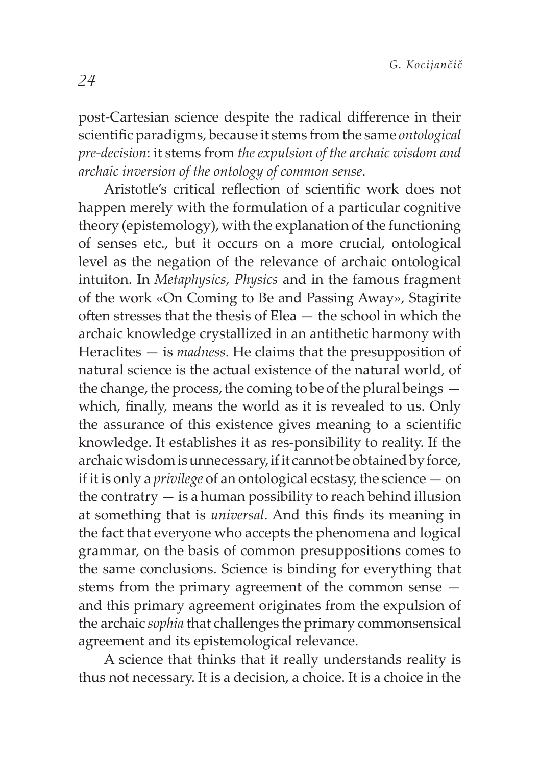post-Cartesian science despite the radical difference in their scientific paradigms, because it stems from the same *ontological pre-decision*: it stems from *the expulsion of the archaic wisdom and archaic inversion of the ontology of common sense*.

Aristotle's critical reflection of scientific work does not happen merely with the formulation of a particular cognitive theory (epistemology), with the explanation of the functioning of senses etc., but it occurs on a more crucial, ontological level as the negation of the relevance of archaic ontological intuiton. In *Metaphysics, Physics* and in the famous fragment of the work «On Coming to Be and Passing Away», Stagirite often stresses that the thesis of Elea  $-$  the school in which the archaic knowledge crystallized in an antithetic harmony with Heraclites — is *madness*. He claims that the presupposition of natural science is the actual existence of the natural world, of the change, the process, the coming to be of the plural beings which, finally, means the world as it is revealed to us. Only the assurance of this existence gives meaning to a scientific knowledge. It establishes it as res-ponsibility to reality. If the archaic wisdom is unnecessary, if it cannot be obtained by force, if it is only a *privilege* of an ontological ecstasy, the science — on the contratry  $-$  is a human possibility to reach behind illusion at something that is *universal*. And this finds its meaning in the fact that everyone who accepts the phenomena and logical grammar, on the basis of common presuppositions comes to the same conclusions. Science is binding for everything that stems from the primary agreement of the common sense and this primary agreement originates from the expulsion of the archaic *sophia* that challenges the primary commonsensical agreement and its epistemological relevance.

A science that thinks that it really understands reality is thus not necessary. It is a decision, a choice. It is a choice in the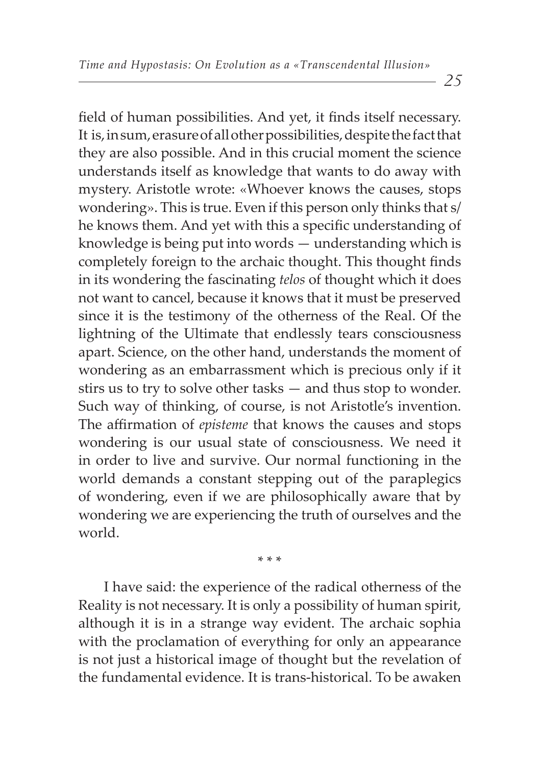field of human possibilities. And yet, it finds itself necessary. It is, in sum, erasure of all other possibilities, despite the fact that they are also possible. And in this crucial moment the science understands itself as knowledge that wants to do away with mystery. Aristotle wrote: «Whoever knows the causes, stops wondering». This is true. Even if this person only thinks that s/ he knows them. And yet with this a specific understanding of knowledge is being put into words — understanding which is completely foreign to the archaic thought. This thought finds in its wondering the fascinating *telos* of thought which it does not want to cancel, because it knows that it must be preserved since it is the testimony of the otherness of the Real. Of the lightning of the Ultimate that endlessly tears consciousness apart. Science, on the other hand, understands the moment of wondering as an embarrassment which is precious only if it stirs us to try to solve other tasks — and thus stop to wonder. Such way of thinking, of course, is not Aristotle's invention. The affirmation of *episteme* that knows the causes and stops wondering is our usual state of consciousness. We need it in order to live and survive. Our normal functioning in the world demands a constant stepping out of the paraplegics of wondering, even if we are philosophically aware that by wondering we are experiencing the truth of ourselves and the world.

\* \* \*

I have said: the experience of the radical otherness of the Reality is not necessary. It is only a possibility of human spirit, although it is in a strange way evident. The archaic sophia with the proclamation of everything for only an appearance is not just a historical image of thought but the revelation of the fundamental evidence. It is trans-historical. To be awaken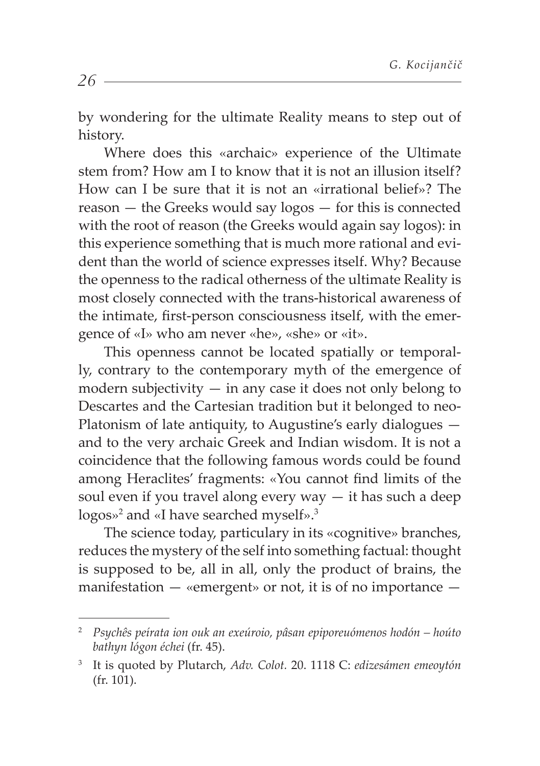by wondering for the ultimate Reality means to step out of history.

Where does this «archaic» experience of the Ultimate stem from? How am I to know that it is not an illusion itself? How can I be sure that it is not an «irrational belief»? The reason — the Greeks would say logos — for this is connected with the root of reason (the Greeks would again say logos): in this experience something that is much more rational and evident than the world of science expresses itself. Why? Because the openness to the radical otherness of the ultimate Reality is most closely connected with the trans-historical awareness of the intimate, first-person consciousness itself, with the emergence of «I» who am never «he», «she» or «it».

This openness cannot be located spatially or temporally, contrary to the contemporary myth of the emergence of modern subjectivity  $-$  in any case it does not only belong to Descartes and the Cartesian tradition but it belonged to neo-Platonism of late antiquity, to Augustine's early dialogues and to the very archaic Greek and Indian wisdom. It is not a coincidence that the following famous words could be found among Heraclites' fragments: «You cannot find limits of the soul even if you travel along every  $way - it$  has such a deep logos»<sup>2</sup> and «I have searched myself».<sup>3</sup>

The science today, particulary in its «cognitive» branches, reduces the mystery of the self into something factual: thought is supposed to be, all in all, only the product of brains, the manifestation  $-$  «emergent» or not, it is of no importance  $-$ 

<sup>2</sup>  *Psychês peírata ion ouk an exeúroio, pâsan epiporeuómenos hodón – hoúto bathyn lógon échei* (fr. 45).

<sup>3</sup> It is quoted by Plutarch, *Adv. Colot.* 20. 1118 C: *edizesámen emeoytón* (fr. 101).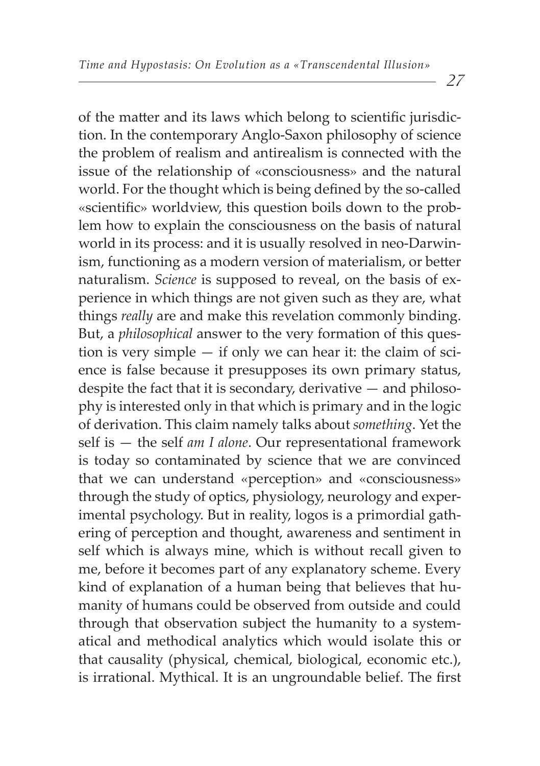of the matter and its laws which belong to scientific jurisdiction. In the contemporary Anglo-Saxon philosophy of science the problem of realism and antirealism is connected with the issue of the relationship of «consciousness» and the natural world. For the thought which is being defined by the so-called «scientific» worldview, this question boils down to the problem how to explain the consciousness on the basis of natural world in its process: and it is usually resolved in neo-Darwinism, functioning as a modern version of materialism, or better naturalism. *Science* is supposed to reveal, on the basis of experience in which things are not given such as they are, what things *really* are and make this revelation commonly binding. But, a *philosophical* answer to the very formation of this question is very simple — if only we can hear it: the claim of science is false because it presupposes its own primary status, despite the fact that it is secondary, derivative — and philosophy is interested only in that which is primary and in the logic of derivation. This claim namely talks about *something*. Yet the self is — the self *am I alone*. Our representational framework is today so contaminated by science that we are convinced that we can understand «perception» and «consciousness» through the study of optics, physiology, neurology and experimental psychology. But in reality, logos is a primordial gathering of perception and thought, awareness and sentiment in self which is always mine, which is without recall given to me, before it becomes part of any explanatory scheme. Every kind of explanation of a human being that believes that humanity of humans could be observed from outside and could through that observation subject the humanity to a systematical and methodical analytics which would isolate this or that causality (physical, chemical, biological, economic etc.), is irrational. Mythical. It is an ungroundable belief. The first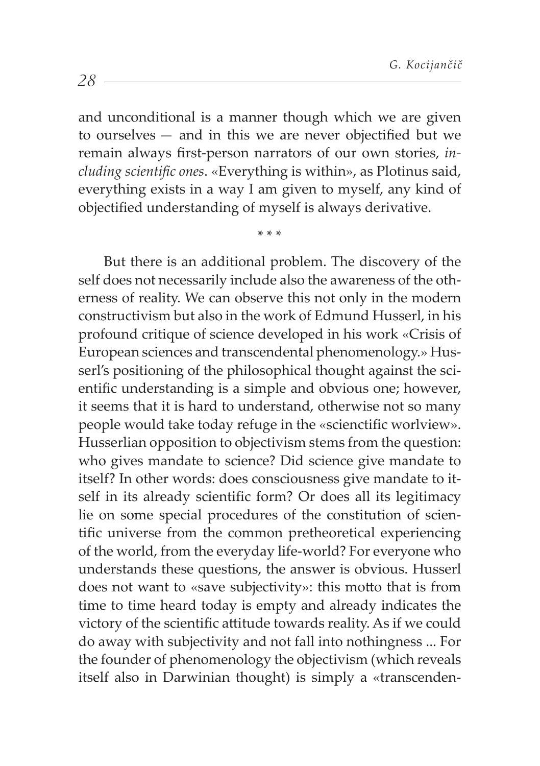and unconditional is a manner though which we are given to ourselves  $-$  and in this we are never objectified but we remain always first-person narrators of our own stories, in*cluding scientific ones.* «Everything is within», as Plotinus said, everything exists in a way I am given to myself, any kind of objectified understanding of myself is always derivative.

\* \* \*

But there is an additional problem. The discovery of the self does not necessarily include also the awareness of the otherness of reality. We can observe this not only in the modern constructivism but also in the work of Edmund Husserl, in his profound critique of science developed in his work «Crisis of European sciences and transcendental phenomenology.» Husserl's positioning of the philosophical thought against the scientific understanding is a simple and obvious one; however, it seems that it is hard to understand, otherwise not so many people would take today refuge in the «scienctific worlview». Husserlian opposition to objectivism stems from the question: who gives mandate to science? Did science give mandate to itself? In other words: does consciousness give mandate to itself in its already scientific form? Or does all its legitimacy lie on some special procedures of the constitution of scientific universe from the common pretheoretical experiencing of the world, from the everyday life-world? For everyone who understands these questions, the answer is obvious. Husserl does not want to «save subjectivity»: this motto that is from time to time heard today is empty and already indicates the victory of the scientific attitude towards reality. As if we could do away with subjectivity and not fall into nothingness ... For the founder of phenomenology the objectivism (which reveals itself also in Darwinian thought) is simply a «transcenden-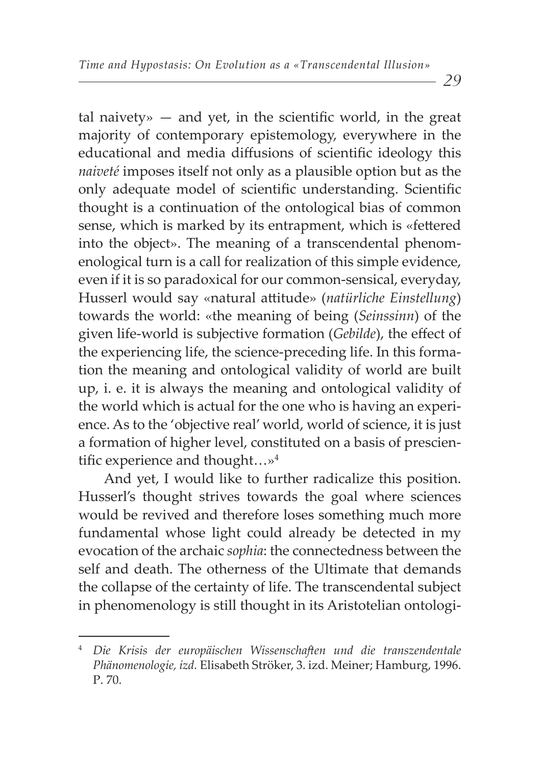tal naivety»  $-$  and yet, in the scientific world, in the great majority of contemporary epistemology, everywhere in the educational and media diffusions of scientific ideology this *naiveté* imposes itself not only as a plausible option but as the only adequate model of scientific understanding. Scientific thought is a continuation of the ontological bias of common sense, which is marked by its entrapment, which is «fettered into the object». The meaning of a transcendental phenomenological turn is a call for realization of this simple evidence, even if it is so paradoxical for our common-sensical, everyday, Husserl would say «natural attitude» (*natürliche Einstellung*) towards the world: «the meaning of being (*Seinssinn*) of the given life-world is subjective formation (*Gebilde*), the effect of the experiencing life, the science-preceding life. In this formation the meaning and ontological validity of world are built up, i. e. it is always the meaning and ontological validity of the world which is actual for the one who is having an experience. As to the 'objective real' world, world of science, it is just a formation of higher level, constituted on a basis of prescientific experience and thought... $\nu^4$ 

And yet, I would like to further radicalize this position. Husserl's thought strives towards the goal where sciences would be revived and therefore loses something much more fundamental whose light could already be detected in my evocation of the archaic *sophia*: the connectedness between the self and death. The otherness of the Ultimate that demands the collapse of the certainty of life. The transcendental subject in phenomenology is still thought in its Aristotelian ontologi-

<sup>&</sup>lt;sup>4</sup> Die Krisis der europäischen Wissenschaften und die transzendentale *Phänomenologie, izd.* Elisabeth Ströker, 3. izd. Meiner; Hamburg, 1996. Р. 70.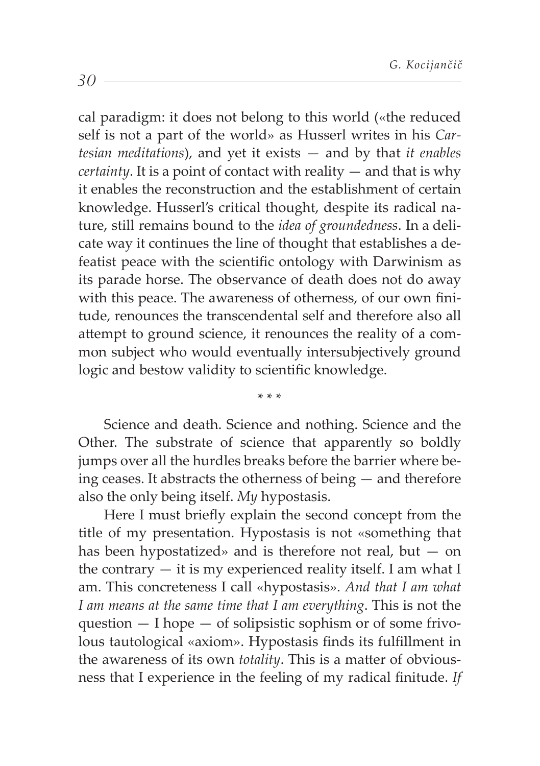cal paradigm: it does not belong to this world («the reduced self is not a part of the world» as Husserl writes in his *Cartesian meditations*), and yet it exists — and by that *it enables certainty*. It is a point of contact with reality — and that is why it enables the reconstruction and the establishment of certain knowledge. Husserl's critical thought, despite its radical nature, still remains bound to the *idea of groundedness*. In a delicate way it continues the line of thought that establishes a defeatist peace with the scientific ontology with Darwinism as its parade horse. The observance of death does not do away with this peace. The awareness of otherness, of our own finitude, renounces the transcendental self and therefore also all attempt to ground science, it renounces the reality of a common subject who would eventually intersubjectively ground logic and bestow validity to scientific knowledge.

Science and death. Science and nothing. Science and the Other. The substrate of science that apparently so boldly jumps over all the hurdles breaks before the barrier where being ceases. It abstracts the otherness of being — and therefore also the only being itself. *My* hypostasis.

\* \* \*

Here I must briefly explain the second concept from the title of my presentation. Hypostasis is not «something that has been hypostatized» and is therefore not real, but  $-$  on the contrary  $-$  it is my experienced reality itself. I am what I am. This concreteness I call «hypostasis». *And that I am what I am means at the same time that I am everything*. This is not the question  $-$  I hope  $-$  of solipsistic sophism or of some frivolous tautological «axiom». Hypostasis finds its fulfillment in the awareness of its own *totality*. This is a matter of obviousness that I experience in the feeling of my radical finitude. If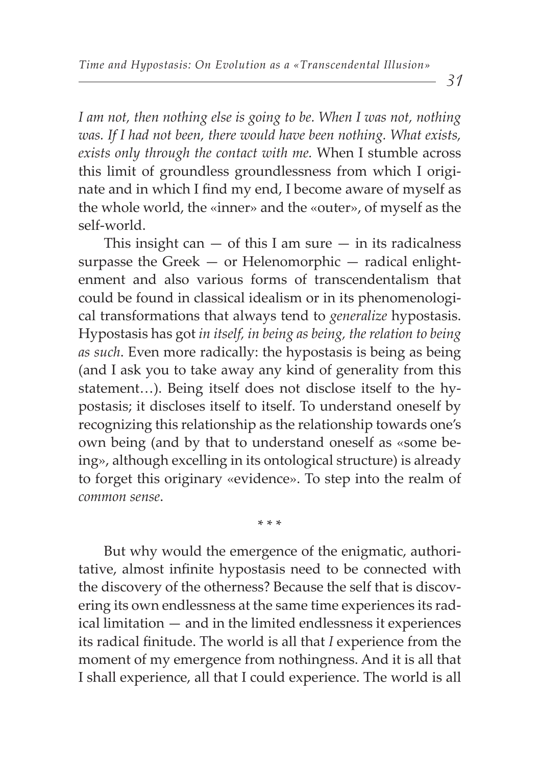*I am not, then nothing else is going to be. When I was not, nothing was. If I had not been, there would have been nothing. What exists, exists only through the contact with me.* When I stumble across this limit of groundless groundlessness from which I originate and in which I find my end, I become aware of myself as the whole world, the «inner» and the «outer», of myself as the self-world.

This insight can  $-$  of this I am sure  $-$  in its radicalness surpasse the Greek — or Helenomorphic — radical enlightenment and also various forms of transcendentalism that could be found in classical idealism or in its phenomenological transformations that always tend to *generalize* hypostasis. Hypostasis has got *in itself, in being as being, the relation to being as such*. Even more radically: the hypostasis is being as being (and I ask you to take away any kind of generality from this statement…). Being itself does not disclose itself to the hypostasis; it discloses itself to itself. To understand oneself by recognizing this relationship as the relationship towards one's own being (and by that to understand oneself as «some being», although excelling in its ontological structure) is already to forget this originary «evidence». To step into the realm of *common sense*.

\* \* \*

But why would the emergence of the enigmatic, authoritative, almost infinite hypostasis need to be connected with the discovery of the otherness? Because the self that is discovering its own endlessness at the same time experiences its radical limitation — and in the limited endlessness it experiences its radical finitude. The world is all that *I* experience from the moment of my emergence from nothingness. And it is all that I shall experience, all that I could experience. The world is all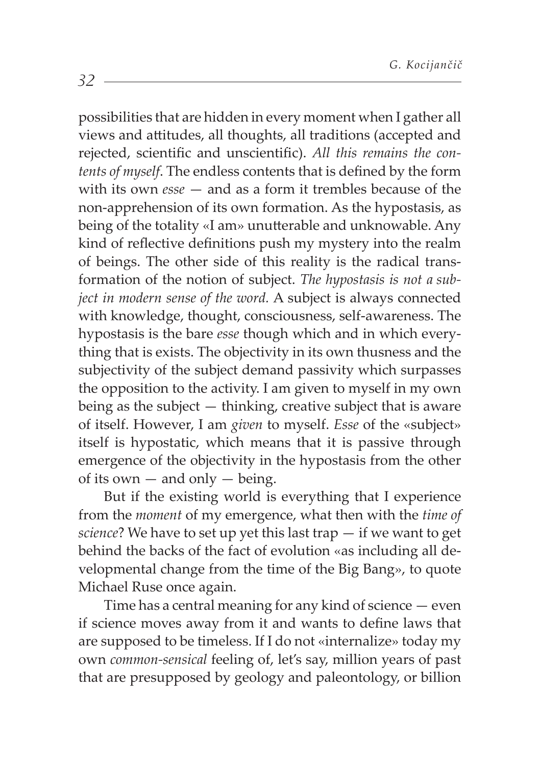possibilities that are hidden in every moment when I gather all views and attitudes, all thoughts, all traditions (accepted and rejected, scientific and unscientific). All this remains the con*tents of myself.* The endless contents that is defined by the form with its own *esse* — and as a form it trembles because of the non-apprehension of its own formation. As the hypostasis, as being of the totality «I am» unutterable and unknowable. Any kind of reflective definitions push my mystery into the realm of beings. The other side of this reality is the radical transformation of the notion of subject. *The hypostasis is not a subject in modern sense of the word.* A subject is always connected with knowledge, thought, consciousness, self-awareness. The hypostasis is the bare *esse* though which and in which everything that is exists. The objectivity in its own thusness and the subjectivity of the subject demand passivity which surpasses the opposition to the activity. I am given to myself in my own being as the subject — thinking, creative subject that is aware of itself. However, I am *given* to myself. *Esse* of the «subject» itself is hypostatic, which means that it is passive through emergence of the objectivity in the hypostasis from the other of its own  $-$  and only  $-$  being.

But if the existing world is everything that I experience from the *moment* of my emergence, what then with the *time of science*? We have to set up yet this last trap — if we want to get behind the backs of the fact of evolution «as including all developmental change from the time of the Big Bang», to quote Michael Ruse once again.

Time has a central meaning for any kind of science — even if science moves away from it and wants to define laws that are supposed to be timeless. If I do not «internalize» today my own *common-sensical* feeling of, let's say, million years of past that are presupposed by geology and paleontology, or billion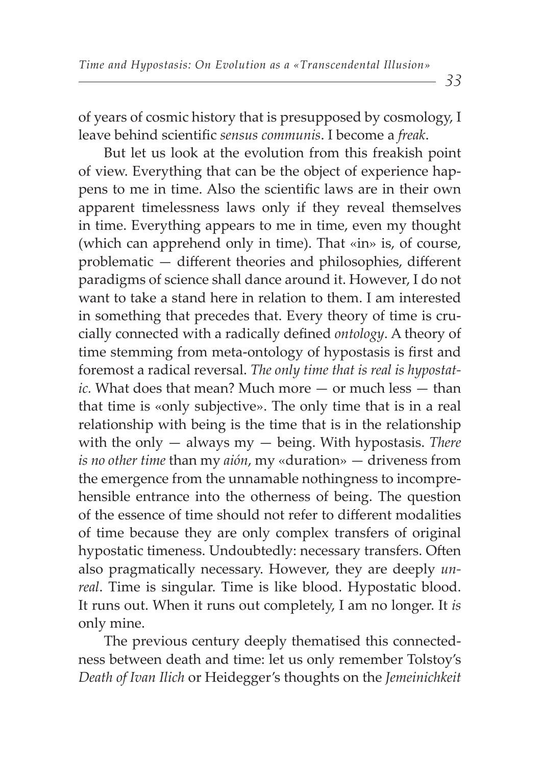of years of cosmic history that is presupposed by cosmology, I leave behind scientific *sensus communis*. I become a *freak*.

But let us look at the evolution from this freakish point of view. Everything that can be the object of experience happens to me in time. Also the scientific laws are in their own apparent timelessness laws only if they reveal themselves in time. Everything appears to me in time, even my thought (which can apprehend only in time). That «in» is, of course,  $prob$ lematic  $-$  different theories and philosophies, different paradigms of science shall dance around it. However, I do not want to take a stand here in relation to them. I am interested in something that precedes that. Every theory of time is crucially connected with a radically defined *ontology*. A theory of time stemming from meta-ontology of hypostasis is first and foremost a radical reversal. *The only time that is real is hypostatic.* What does that mean? Much more — or much less — than that time is «only subjective». The only time that is in a real relationship with being is the time that is in the relationship with the only — always my — being. With hypostasis. *There is no other time* than my *aión*, my «duration» — driveness from the emergence from the unnamable nothingness to incomprehensible entrance into the otherness of being. The question of the essence of time should not refer to different modalities of time because they are only complex transfers of original hypostatic timeness. Undoubtedly: necessary transfers. Often also pragmatically necessary. However, they are deeply *unreal*. Time is singular. Time is like blood. Hypostatic blood. It runs out. When it runs out completely, I am no longer. It *is* only mine.

The previous century deeply thematised this connectedness between death and time: let us only remember Tolstoy's *Death of Ivan Ilich* or Heidegger's thoughts on the *Jemeinichkeit*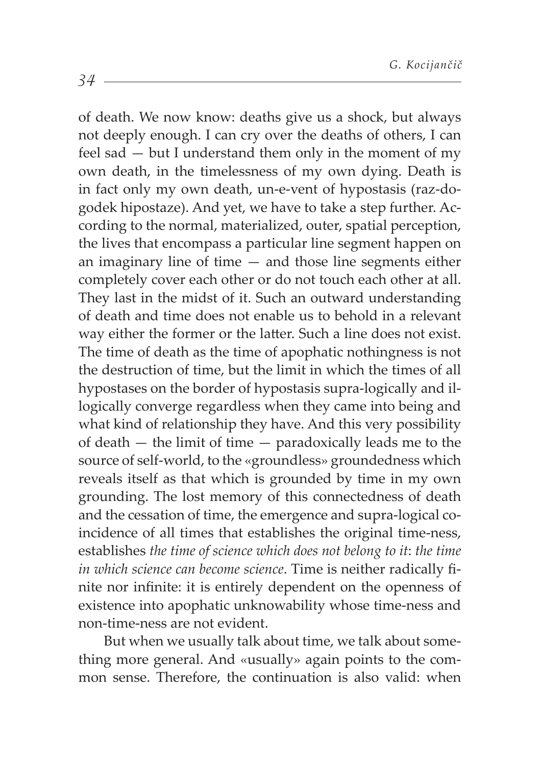of death. We now know: deaths give us a shock, but always not deeply enough. I can cry over the deaths of others, I can feel sad — but I understand them only in the moment of my own death, in the timelessness of my own dying. Death is in fact only my own death, un-e-vent of hypostasis (raz-dogodek hipostaze). And yet, we have to take a step further. According to the normal, materialized, outer, spatial perception, the lives that encompass a particular line segment happen on an imaginary line of time — and those line segments either completely cover each other or do not touch each other at all. They last in the midst of it. Such an outward understanding of death and time does not enable us to behold in a relevant way either the former or the latter. Such a line does not exist. The time of death as the time of apophatic nothingness is not the destruction of time, but the limit in which the times of all hypostases on the border of hypostasis supra-logically and illogically converge regardless when they came into being and what kind of relationship they have. And this very possibility of death — the limit of time — paradoxically leads me to the source of self-world, to the «groundless» groundedness which reveals itself as that which is grounded by time in my own grounding. The lost memory of this connectedness of death and the cessation of time, the emergence and supra-logical coincidence of all times that establishes the original time-ness, establishes *the time of science which does not belong to it*: *the time in which science can become science*. Time is neither radically finite nor infinite: it is entirely dependent on the openness of existence into apophatic unknowability whose time-ness and non-time-ness are not evident.

But when we usually talk about time, we talk about something more general. And «usually» again points to the common sense. Therefore, the continuation is also valid: when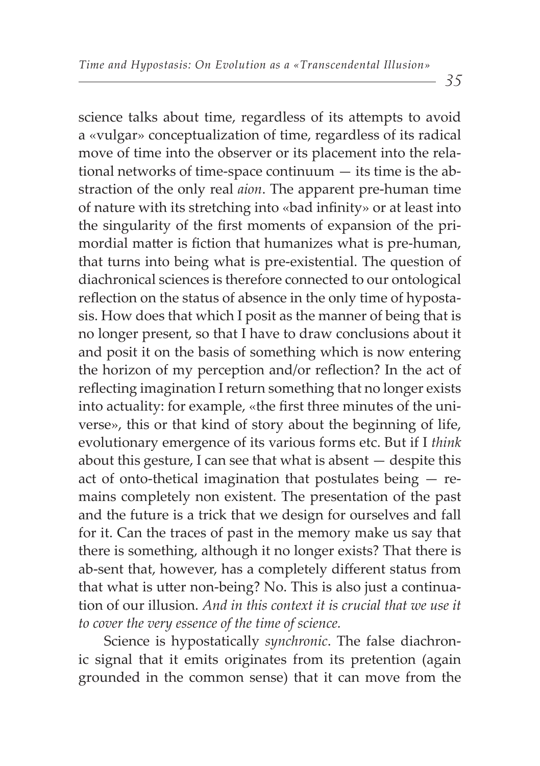science talks about time, regardless of its attempts to avoid a «vulgar» conceptualization of time, regardless of its radical move of time into the observer or its placement into the relational networks of time-space continuum — its time is the abstraction of the only real *aion*. The apparent pre-human time of nature with its stretching into «bad infinity» or at least into the singularity of the first moments of expansion of the primordial matter is fiction that humanizes what is pre-human, that turns into being what is pre-existential. The question of diachronical sciences is therefore connected to our ontological reflection on the status of absence in the only time of hypostasis. How does that which I posit as the manner of being that is no longer present, so that I have to draw conclusions about it and posit it on the basis of something which is now entering the horizon of my perception and/or reflection? In the act of reflecting imagination I return something that no longer exists into actuality: for example, «the first three minutes of the universe», this or that kind of story about the beginning of life, evolutionary emergence of its various forms etc. But if I *think* about this gesture, I can see that what is absent — despite this act of onto-thetical imagination that postulates being — remains completely non existent. The presentation of the past and the future is a trick that we design for ourselves and fall for it. Can the traces of past in the memory make us say that there is something, although it no longer exists? That there is ab-sent that, however, has a completely different status from that what is utter non-being? No. This is also just a continuation of our illusion. *And in this context it is crucial that we use it* 

Science is hypostatically *synchronic*. The false diachronic signal that it emits originates from its pretention (again grounded in the common sense) that it can move from the

*to cover the very essence of the time of science.*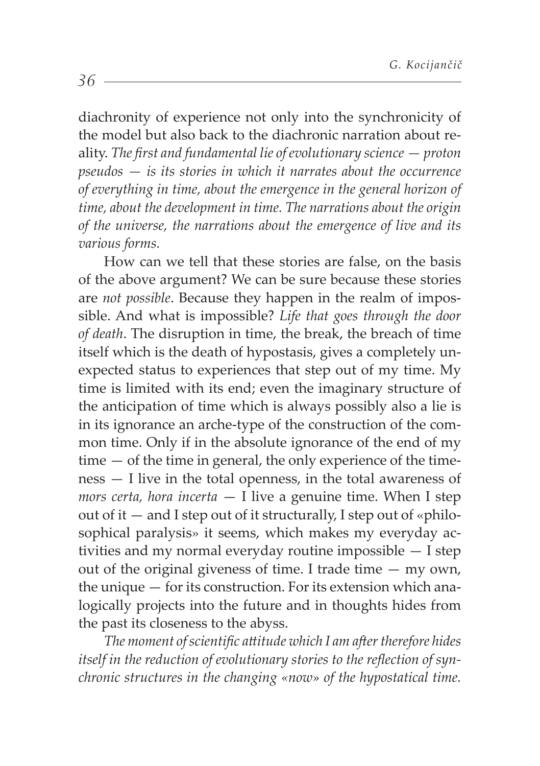diachronity of experience not only into the synchronicity of the model but also back to the diachronic narration about reality. The first and fundamental lie of evolutionary science – proton *pseudos — is its stories in which it narrates about the occurrence of everything in time, about the emergence in the general horizon of time, about the development in time. The narrations about the origin of the universe, the narrations about the emergence of live and its various forms.* 

How can we tell that these stories are false, on the basis of the above argument? We can be sure because these stories are *not possible*. Because they happen in the realm of impossible. And what is impossible? *Life that goes through the door of death*. The disruption in time, the break, the breach of time itself which is the death of hypostasis, gives a completely unexpected status to experiences that step out of my time. My time is limited with its end; even the imaginary structure of the anticipation of time which is always possibly also a lie is in its ignorance an arche-type of the construction of the common time. Only if in the absolute ignorance of the end of my  $time - of the time in general, the only experience of the time$ ness — I live in the total openness, in the total awareness of *mors certa, hora incerta* — I live a genuine time. When I step out of it  $-$  and I step out of it structurally, I step out of «philosophical paralysis» it seems, which makes my everyday activities and my normal everyday routine impossible — I step out of the original giveness of time. I trade time — my own, the unique — for its construction. For its extension which analogically projects into the future and in thoughts hides from the past its closeness to the abyss.

*The moment of scientific attitude which I am after therefore hides* itself in the reduction of evolutionary stories to the reflection of syn*chronic structures in the changing «now» of the hypostatical time.*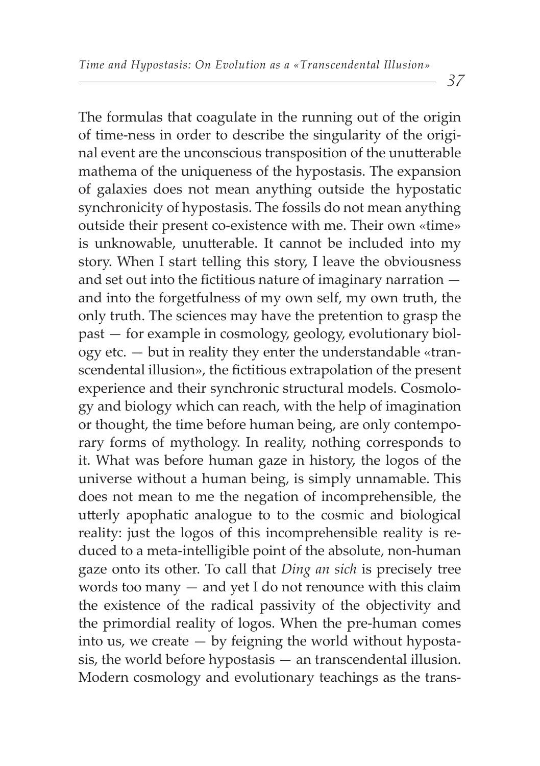The formulas that coagulate in the running out of the origin of time-ness in order to describe the singularity of the original event are the unconscious transposition of the unutterable mathema of the uniqueness of the hypostasis. The expansion of galaxies does not mean anything outside the hypostatic synchronicity of hypostasis. The fossils do not mean anything outside their present co-existence with me. Their own «time» is unknowable, unutterable. It cannot be included into my story. When I start telling this story, I leave the obviousness and set out into the fictitious nature of imaginary narration  $$ and into the forgetfulness of my own self, my own truth, the only truth. The sciences may have the pretention to grasp the past — for example in cosmology, geology, evolutionary biology etc. — but in reality they enter the understandable «transcendental illusion», the fictitious extrapolation of the present experience and their synchronic structural models. Cosmology and biology which can reach, with the help of imagination or thought, the time before human being, are only contemporary forms of mythology. In reality, nothing corresponds to it. What was before human gaze in history, the logos of the universe without a human being, is simply unnamable. This does not mean to me the negation of incomprehensible, the utterly apophatic analogue to to the cosmic and biological reality: just the logos of this incomprehensible reality is reduced to a meta-intelligible point of the absolute, non-human gaze onto its other. To call that *Ding an sich* is precisely tree words too many — and yet I do not renounce with this claim the existence of the radical passivity of the objectivity and the primordial reality of logos. When the pre-human comes into us, we create  $-$  by feigning the world without hypostasis, the world before hypostasis — an transcendental illusion. Modern cosmology and evolutionary teachings as the trans